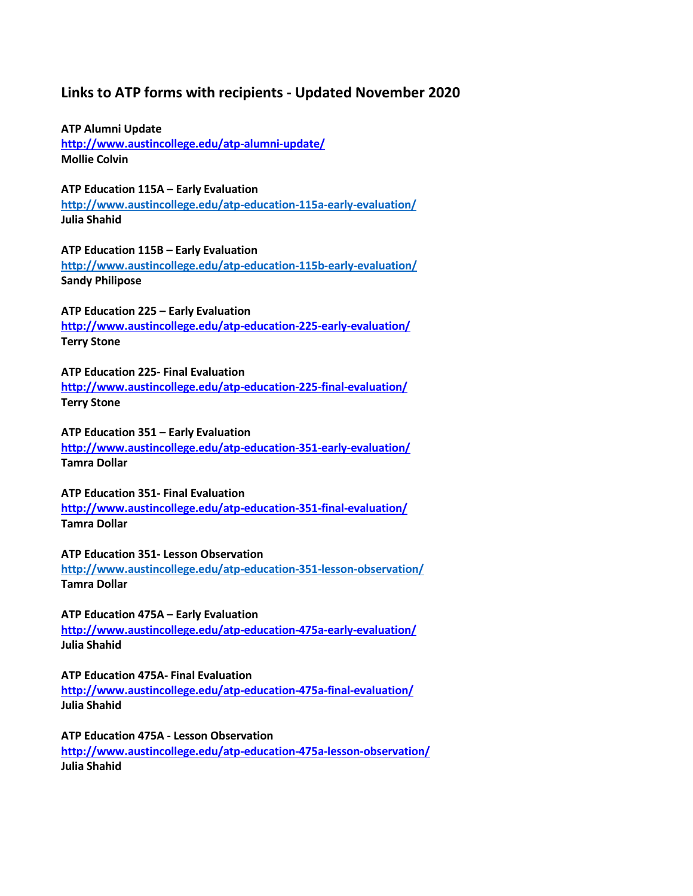# **Links to ATP forms with recipients - Updated November 2020**

**ATP Alumni Update <http://www.austincollege.edu/atp-alumni-update/> Mollie Colvin**

**ATP Education 115A – Early Evaluation <http://www.austincollege.edu/atp-education-115a-early-evaluation/> Julia Shahid**

**ATP Education 115B – Early Evaluation <http://www.austincollege.edu/atp-education-115b-early-evaluation/> Sandy Philipose**

**ATP Education 225 – Early Evaluation <http://www.austincollege.edu/atp-education-225-early-evaluation/> [Terry Stone](mailto:tstone@austincollege.edu)**

**ATP Education 225- Final Evaluation <http://www.austincollege.edu/atp-education-225-final-evaluation/> [Terry Stone](mailto:tstone@austincollege.edu)**

**ATP Education 351 – Early Evaluation <http://www.austincollege.edu/atp-education-351-early-evaluation/> Tamra Dollar**

**ATP Education 351- Final Evaluation <http://www.austincollege.edu/atp-education-351-final-evaluation/> Tamra Dollar**

**ATP Education 351- Lesson Observation <http://www.austincollege.edu/atp-education-351-lesson-observation/> Tamra Dollar**

**ATP Education 475A – Early Evaluation <http://www.austincollege.edu/atp-education-475a-early-evaluation/> Julia Shahid**

**ATP Education 475A- Final Evaluation <http://www.austincollege.edu/atp-education-475a-final-evaluation/> Julia Shahid**

**ATP Education 475A - Lesson Observation <http://www.austincollege.edu/atp-education-475a-lesson-observation/> Julia Shahid**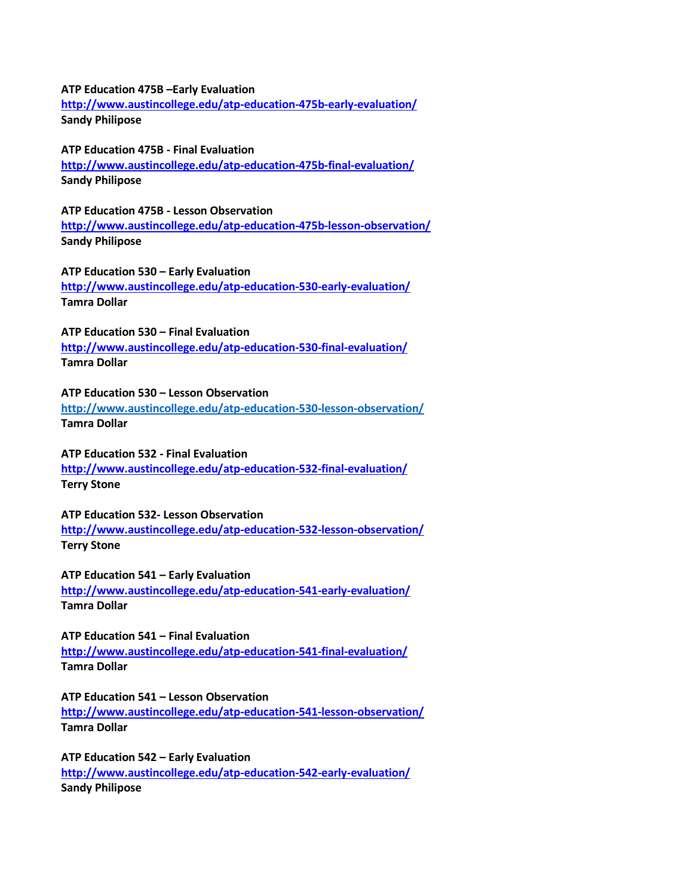### **ATP Education 475B –Early Evaluation**

**<http://www.austincollege.edu/atp-education-475b-early-evaluation/> Sandy Philipose**

### **ATP Education 475B - Final Evaluation**

**<http://www.austincollege.edu/atp-education-475b-final-evaluation/> Sandy Philipose**

**ATP Education 475B - Lesson Observation <http://www.austincollege.edu/atp-education-475b-lesson-observation/> Sandy Philipose**

**ATP Education 530 – Early Evaluation http://www.austincollege.edu/atp-education-530-early-evaluation/ Tamra Dollar**

**ATP Education 530 – Final Evaluation**

**<http://www.austincollege.edu/atp-education-530-final-evaluation/> Tamra Dollar**

# **ATP Education 530 – Lesson Observation**

**<http://www.austincollege.edu/atp-education-530-lesson-observation/> Tamra Dollar**

# **ATP Education 532 - Final Evaluation**

**<http://www.austincollege.edu/atp-education-532-final-evaluation/> [Terry Stone](mailto:tstone@austincollege.edu)**

### **ATP Education 532- Lesson Observation**

**<http://www.austincollege.edu/atp-education-532-lesson-observation/> [Terry Stone](mailto:tstone@austincollege.edu)**

**ATP Education 541 – Early Evaluation**

**<http://www.austincollege.edu/atp-education-541-early-evaluation/> Tamra Dollar**

**ATP Education 541 – Final Evaluation**

**<http://www.austincollege.edu/atp-education-541-final-evaluation/> Tamra Dollar**

**ATP Education 541 – Lesson Observation**

**<http://www.austincollege.edu/atp-education-541-lesson-observation/> Tamra Dollar**

**ATP Education 542 – Early Evaluation <http://www.austincollege.edu/atp-education-542-early-evaluation/> Sandy Philipose**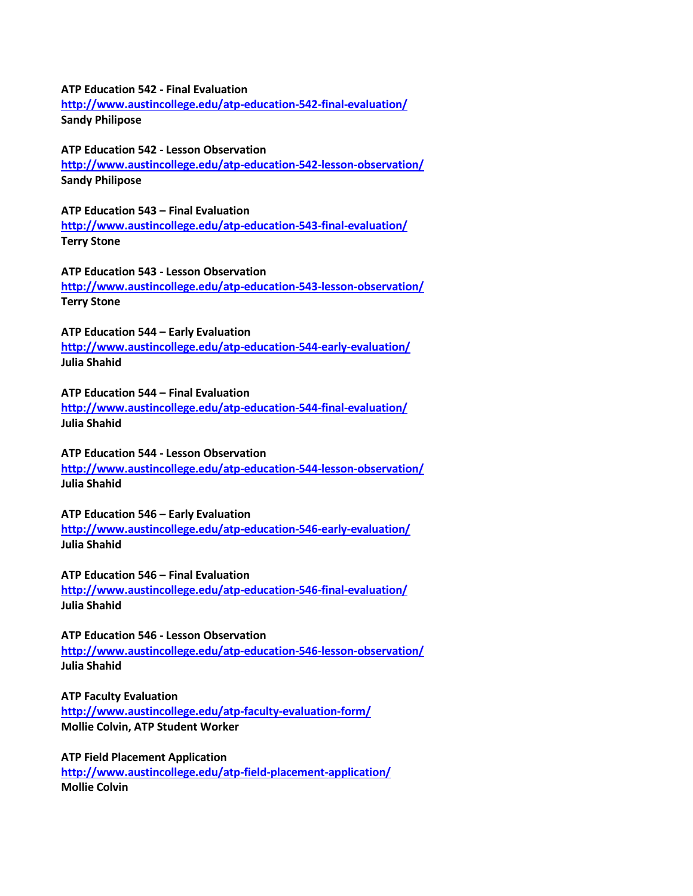#### **ATP Education 542 - Final Evaluation**

**<http://www.austincollege.edu/atp-education-542-final-evaluation/> Sandy Philipose**

## **ATP Education 542 - Lesson Observation**

**<http://www.austincollege.edu/atp-education-542-lesson-observation/> Sandy Philipose**

**ATP Education 543 – Final Evaluation <http://www.austincollege.edu/atp-education-543-final-evaluation/> [Terry Stone](mailto:tstone@austincollege.edu)**

**ATP Education 543 - Lesson Observation <http://www.austincollege.edu/atp-education-543-lesson-observation/> [Terry Stone](mailto:tstone@austincollege.edu)**

**ATP Education 544 – Early Evaluation**

**<http://www.austincollege.edu/atp-education-544-early-evaluation/> Julia Shahid**

# **ATP Education 544 – Final Evaluation**

**<http://www.austincollege.edu/atp-education-544-final-evaluation/> Julia Shahid**

# **ATP Education 544 - Lesson Observation**

**<http://www.austincollege.edu/atp-education-544-lesson-observation/> Julia Shahid**

## **ATP Education 546 – Early Evaluation**

**<http://www.austincollege.edu/atp-education-546-early-evaluation/> Julia Shahid**

**ATP Education 546 – Final Evaluation**

**<http://www.austincollege.edu/atp-education-546-final-evaluation/> Julia Shahid**

**ATP Education 546 - Lesson Observation <http://www.austincollege.edu/atp-education-546-lesson-observation/> Julia Shahid**

**ATP Faculty Evaluation**

**<http://www.austincollege.edu/atp-faculty-evaluation-form/> Mollie Colvin, ATP Student Worker**

**ATP Field Placement Application <http://www.austincollege.edu/atp-field-placement-application/> Mollie Colvin**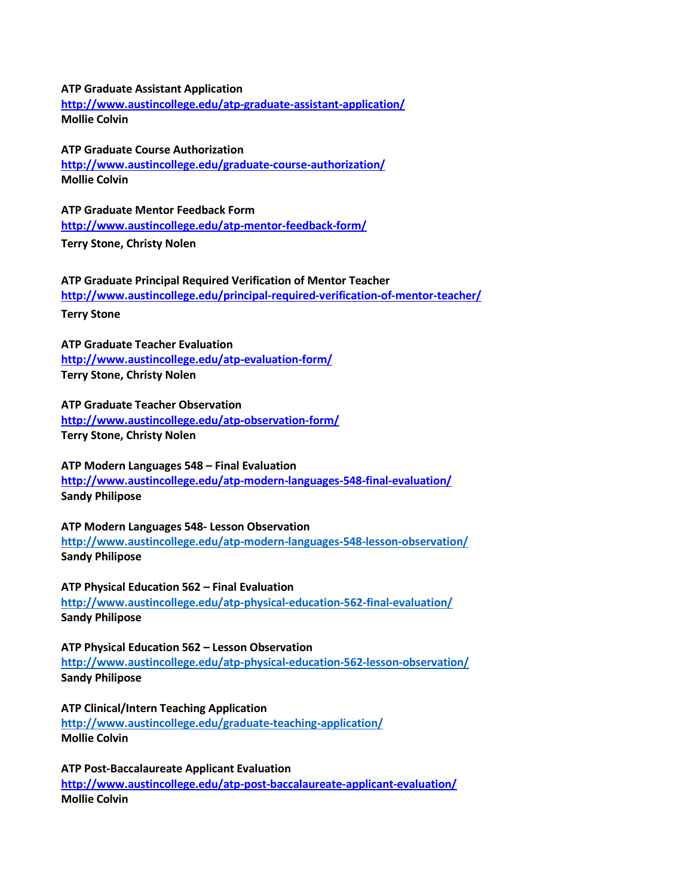### **ATP Graduate Assistant Application**

**<http://www.austincollege.edu/atp-graduate-assistant-application/> Mollie Colvin**

### **ATP Graduate Course Authorization**

**<http://www.austincollege.edu/graduate-course-authorization/> Mollie Colvin**

**ATP Graduate Mentor Feedback Form <http://www.austincollege.edu/atp-mentor-feedback-form/> [Terry Stone,](mailto:tstone@austincollege.edu) Christy Nolen**

**ATP Graduate Principal Required Verification of Mentor Teacher <http://www.austincollege.edu/principal-required-verification-of-mentor-teacher/>**

**[Terry Stone](mailto:tstone@austincollege.edu)**

**ATP Graduate Teacher Evaluation <http://www.austincollege.edu/atp-evaluation-form/> [Terry Stone,](mailto:tstone@austincollege.edu) Christy Nolen**

**ATP Graduate Teacher Observation <http://www.austincollege.edu/atp-observation-form/> [Terry Stone,](mailto:tstone@austincollege.edu) Christy Nolen**

**ATP Modern Languages 548 – Final Evaluation http://www.austincollege.edu/atp-modern-languages-548-final-evaluation/ Sandy Philipose**

**ATP Modern Languages 548- Lesson Observation <http://www.austincollege.edu/atp-modern-languages-548-lesson-observation/> Sandy Philipose**

**ATP Physical Education 562 – Final Evaluation <http://www.austincollege.edu/atp-physical-education-562-final-evaluation/> Sandy Philipose**

**ATP Physical Education 562 – Lesson Observation <http://www.austincollege.edu/atp-physical-education-562-lesson-observation/> Sandy Philipose**

**ATP Clinical/Intern Teaching Application <http://www.austincollege.edu/graduate-teaching-application/> Mollie Colvin**

**ATP Post-Baccalaureate Applicant Evaluation <http://www.austincollege.edu/atp-post-baccalaureate-applicant-evaluation/> Mollie Colvin**